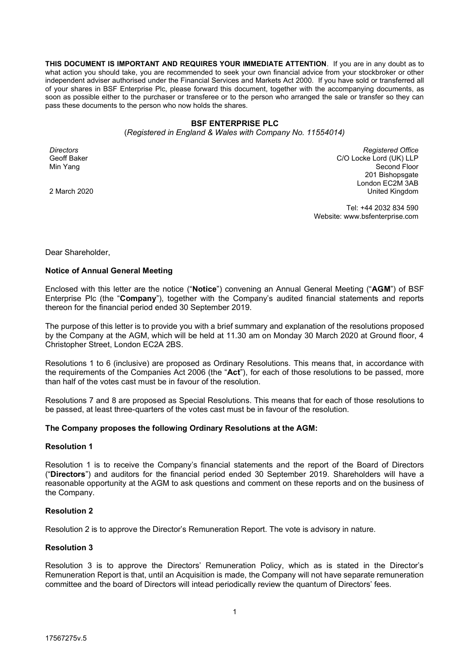**THIS DOCUMENT IS IMPORTANT AND REQUIRES YOUR IMMEDIATE ATTENTION**. If you are in any doubt as to what action you should take, you are recommended to seek your own financial advice from your stockbroker or other independent adviser authorised under the Financial Services and Markets Act 2000. If you have sold or transferred all of your shares in BSF Enterprise Plc, please forward this document, together with the accompanying documents, as soon as possible either to the purchaser or transferee or to the person who arranged the sale or transfer so they can pass these documents to the person who now holds the shares.

### **BSF ENTERPRISE PLC**

(*Registered in England & Wales with Company No. 11554014)*

*Directors* Geoff Baker Min Yang

2 March 2020

*Registered Office* C/O Locke Lord (UK) LLP Second Floor 201 Bishopsgate London EC2M 3AB United Kingdom

Tel: +44 2032 834 590 Website: www.bsfenterprise.com

Dear Shareholder,

### **Notice of Annual General Meeting**

Enclosed with this letter are the notice ("Notice") convening an Annual General Meeting ("AGM") of BSF Enterprise Plc (the "Company"), together with the Company's audited financial statements and reports thereon for the financial period ended 30 September 2019.

The purpose of this letter is to provide you with a brief summary and explanation of the resolutions proposed by the Company at the AGM, which will be held at 11.30 am on Monday 30 March 2020 at Ground floor, 4 Christopher Street, London EC2A 2BS.

Resolutions 1 to 6 (inclusive) are proposed as Ordinary Resolutions. This means that, in accordance with the requirements of the Companies Act 2006 (the "Act"), for each of those resolutions to be passed, more than half of the votes cast must be in favour of the resolution.

Resolutions 7 and 8 are proposed as Special Resolutions. This means that for each of those resolutions to be passed, at least three-quarters of the votes cast must be in favour of the resolution.

### **The Company proposes the following Ordinary Resolutions at the AGM:**

#### **Resolution 1**

Resolution 1 is to receive the Company's financial statements and the report of the Board of Directors ("Directors") and auditors for the financial period ended 30 September 2019. Shareholders will have a reasonable opportunity at the AGM to ask questions and comment on these reports and on the business of the Company.

### **Resolution 2**

Resolution 2 is to approve the Director's Remuneration Report. The vote is advisory in nature.

### **Resolution 3**

Resolution 3 is to approve the Directors' Remuneration Policy, which as is stated in the Director's Remuneration Report is that, until an Acquisition is made, the Company will not have separate remuneration committee and the board of Directors will intead periodically review the quantum of Directors' fees.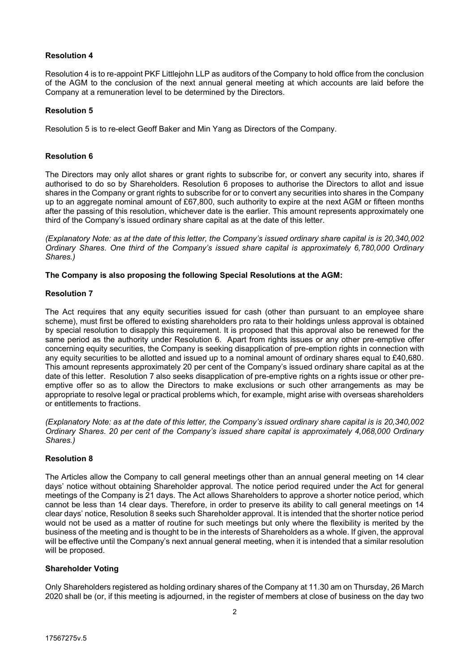# **Resolution 4**

Resolution 4 is to re-appoint PKF Littlejohn LLP as auditors of the Company to hold office from the conclusion of the AGM to the conclusion of the next annual general meeting at which accounts are laid before the Company at a remuneration level to be determined by the Directors.

# **Resolution 5**

Resolution 5 is to re-elect Geoff Baker and Min Yang as Directors of the Company.

# **Resolution 6**

The Directors may only allot shares or grant rights to subscribe for, or convert any security into, shares if authorised to do so by Shareholders. Resolution 6 proposes to authorise the Directors to allot and issue shares in the Company or grant rights to subscribe for or to convert any securities into shares in the Company up to an aggregate nominal amount of £67,800, such authority to expire at the next AGM or fifteen months after the passing of this resolution, whichever date is the earlier. This amount represents approximately one third of the Company's issued ordinary share capital as at the date of this letter.

*(Explanatory Note: as at the date of this letter, the Company's issued ordinary share capital is is 20,340,002 Ordinary Shares. One third of the Company's issued share capital is approximately 6,780,000 Ordinary Shares.)*

# **The Company is also proposing the following Special Resolutions at the AGM:**

# **Resolution 7**

The Act requires that any equity securities issued for cash (other than pursuant to an employee share scheme), must first be offered to existing shareholders pro rata to their holdings unless approval is obtained by special resolution to disapply this requirement. It is proposed that this approval also be renewed for the same period as the authority under Resolution 6. Apart from rights issues or any other pre-emptive offer concerning equity securities, the Company is seeking disapplication of pre-emption rights in connection with any equity securities to be allotted and issued up to a nominal amount of ordinary shares equal to £40,680. This amount represents approximately 20 per cent of the Company's issued ordinary share capital as at the date of this letter. Resolution 7 also seeks disapplication of pre-emptive rights on a rights issue or other preemptive offer so as to allow the Directors to make exclusions or such other arrangements as may be appropriate to resolve legal or practical problems which, for example, might arise with overseas shareholders or entitlements to fractions.

*(Explanatory Note: as at the date of this letter, the Company's issued ordinary share capital is is 20,340,002 Ordinary Shares. 20 per cent of the Company's issued share capital is approximately 4,068,000 Ordinary Shares.)*

# **Resolution 8**

The Articles allow the Company to call general meetings other than an annual general meeting on 14 clear days' notice without obtaining Shareholder approval. The notice period required under the Act for general meetings of the Company is 21 days. The Act allows Shareholders to approve a shorter notice period, which cannot be less than 14 clear days. Therefore, in order to preserve its ability to call general meetings on 14 clear days' notice, Resolution 8 seeks such Shareholder approval. It is intended that the shorter notice period would not be used as a matter of routine for such meetings but only where the flexibility is merited by the business of the meeting and is thought to be in the interests of Shareholders as a whole. If given, the approval will be effective until the Company's next annual general meeting, when it is intended that a similar resolution will be proposed.

# **Shareholder Voting**

Only Shareholders registered as holding ordinary shares of the Company at 11.30 am on Thursday, 26 March 2020 shall be (or, if this meeting is adjourned, in the register of members at close of business on the day two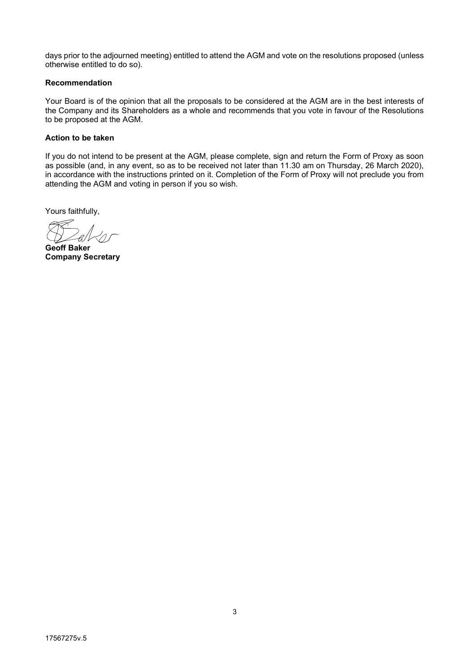days prior to the adjourned meeting) entitled to attend the AGM and vote on the resolutions proposed (unless otherwise entitled to do so).

## **Recommendation**

Your Board is of the opinion that all the proposals to be considered at the AGM are in the best interests of the Company and its Shareholders as a whole and recommends that you vote in favour of the Resolutions to be proposed at the AGM.

## **Action to be taken**

If you do not intend to be present at the AGM, please complete, sign and return the Form of Proxy as soon as possible (and, in any event, so as to be received not later than 11.30 am on Thursday, 26 March 2020), in accordance with the instructions printed on it. Completion of the Form of Proxy will not preclude you from attending the AGM and voting in person if you so wish.

Yours faithfully,

**Geoff Baker Company Secretary**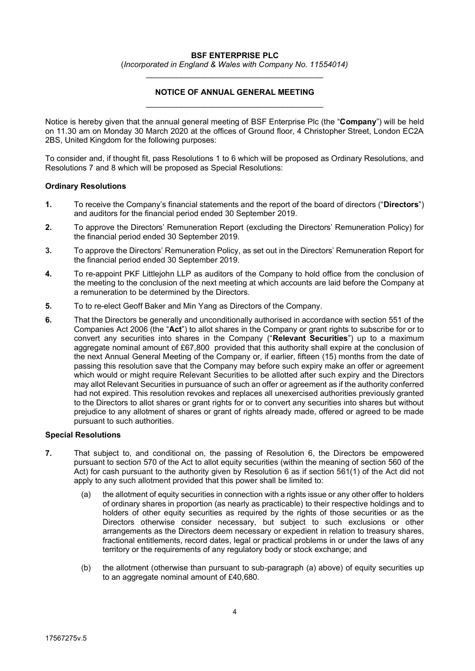## **BSF ENTERPRISE PLC**

(*Incorporated in England & Wales with Company No. 11554014)* \_\_\_\_\_\_\_\_\_\_\_\_\_\_\_\_\_\_\_\_\_\_\_\_\_\_\_\_\_\_\_\_\_\_\_\_\_\_\_\_

# **NOTICE OF ANNUAL GENERAL MEETING** \_\_\_\_\_\_\_\_\_\_\_\_\_\_\_\_\_\_\_\_\_\_\_\_\_\_\_\_\_\_\_\_\_\_\_\_\_\_\_\_

Notice is hereby given that the annual general meeting of BSF Enterprise Plc (the "Company") will be held on 11.30 am on Monday 30 March 2020 at the offices of Ground floor, 4 Christopher Street, London EC2A 2BS, United Kingdom for the following purposes:

To consider and, if thought fit, pass Resolutions 1 to 6 which will be proposed as Ordinary Resolutions, and Resolutions 7 and 8 which will be proposed as Special Resolutions:

### **Ordinary Resolutions**

- **1.** To receive the Company's financial statements and the report of the board of directors ("Directors") and auditors for the financial period ended 30 September 2019.
- **2.** To approve the Directors' Remuneration Report (excluding the Directors' Remuneration Policy) for the financial period ended 30 September 2019.
- **3.** To approve the Directors' Remuneration Policy, as set out in the Directors' Remuneration Report for the financial period ended 30 September 2019.
- **4.** To re-appoint PKF Littlejohn LLP as auditors of the Company to hold office from the conclusion of the meeting to the conclusion of the next meeting at which accounts are laid before the Company at a remuneration to be determined by the Directors.
- **5.** To to re-elect Geoff Baker and Min Yang as Directors of the Company.
- **6.** That the Directors be generally and unconditionally authorised in accordance with section 551 of the Companies Act 2006 (the "Act") to allot shares in the Company or grant rights to subscribe for or to convert any securities into shares in the Company ("Relevant Securities") up to a maximum aggregate nominal amount of £67,800 provided that this authority shall expire at the conclusion of the next Annual General Meeting of the Company or, if earlier, fifteen (15) months from the date of passing this resolution save that the Company may before such expiry make an offer or agreement which would or might require Relevant Securities to be allotted after such expiry and the Directors may allot Relevant Securities in pursuance of such an offer or agreement as if the authority conferred had not expired. This resolution revokes and replaces all unexercised authorities previously granted to the Directors to allot shares or grant rights for or to convert any securities into shares but without prejudice to any allotment of shares or grant of rights already made, offered or agreed to be made pursuant to such authorities.

### **Special Resolutions**

- **7.** That subject to, and conditional on, the passing of Resolution 6, the Directors be empowered pursuant to section 570 of the Act to allot equity securities (within the meaning of section 560 of the Act) for cash pursuant to the authority given by Resolution 6 as if section 561(1) of the Act did not apply to any such allotment provided that this power shall be limited to:
	- (a) the allotment of equity securities in connection with a rights issue or any other offer to holders of ordinary shares in proportion (as nearly as practicable) to their respective holdings and to holders of other equity securities as required by the rights of those securities or as the Directors otherwise consider necessary, but subject to such exclusions or other arrangements as the Directors deem necessary or expedient in relation to treasury shares, fractional entitlements, record dates, legal or practical problems in or under the laws of any territory or the requirements of any regulatory body or stock exchange; and
	- (b) the allotment (otherwise than pursuant to sub-paragraph (a) above) of equity securities up to an aggregate nominal amount of £40,680.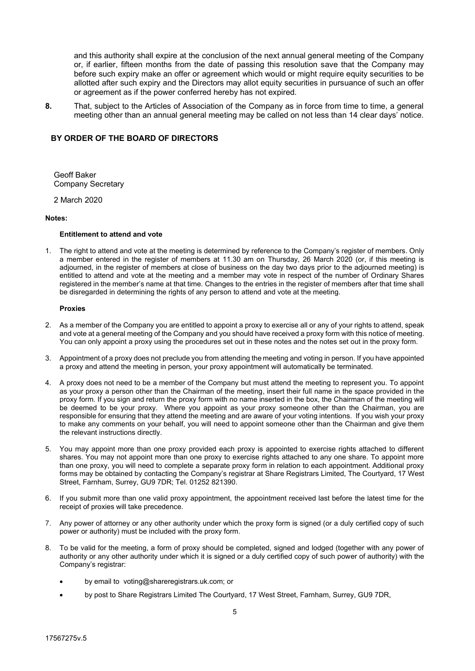and this authority shall expire at the conclusion of the next annual general meeting of the Company or, if earlier, fifteen months from the date of passing this resolution save that the Company may before such expiry make an offer or agreement which would or might require equity securities to be allotted after such expiry and the Directors may allot equity securities in pursuance of such an offer or agreement as if the power conferred hereby has not expired.

**8.** That, subject to the Articles of Association of the Company as in force from time to time, a general meeting other than an annual general meeting may be called on not less than 14 clear days' notice.

### **BY ORDER OF THE BOARD OF DIRECTORS**

Geoff Baker Company Secretary

2 March 2020

#### **Notes:**

#### **Entitlement to attend and vote**

1. The right to attend and vote at the meeting is determined by reference to the Company's register of members. Only a member entered in the register of members at 11.30 am on Thursday, 26 March 2020 (or, if this meeting is adjourned, in the register of members at close of business on the day two days prior to the adjourned meeting) is entitled to attend and vote at the meeting and a member may vote in respect of the number of Ordinary Shares registered in the member's name at that time. Changes to the entries in the register of members after that time shall be disregarded in determining the rights of any person to attend and vote at the meeting.

#### **Proxies**

- 2. As a member of the Company you are entitled to appoint a proxy to exercise all or any of your rights to attend, speak and vote at a general meeting of the Company and you should have received a proxy form with this notice of meeting. You can only appoint a proxy using the procedures set out in these notes and the notes set out in the proxy form.
- 3. Appointment of a proxy does not preclude you from attending the meeting and voting in person. If you have appointed a proxy and attend the meeting in person, your proxy appointment will automatically be terminated.
- 4. A proxy does not need to be a member of the Company but must attend the meeting to represent you. To appoint as your proxy a person other than the Chairman of the meeting, insert their full name in the space provided in the proxy form. If you sign and return the proxy form with no name inserted in the box, the Chairman of the meeting will be deemed to be your proxy. Where you appoint as your proxy someone other than the Chairman, you are responsible for ensuring that they attend the meeting and are aware of your voting intentions. If you wish your proxy to make any comments on your behalf, you will need to appoint someone other than the Chairman and give them the relevant instructions directly.
- 5. You may appoint more than one proxy provided each proxy is appointed to exercise rights attached to different shares. You may not appoint more than one proxy to exercise rights attached to any one share. To appoint more than one proxy, you will need to complete a separate proxy form in relation to each appointment. Additional proxy forms may be obtained by contacting the Company's registrar at Share Registrars Limited, The Courtyard, 17 West Street, Farnham, Surrey, GU9 7DR; Tel. 01252 821390.
- 6. If you submit more than one valid proxy appointment, the appointment received last before the latest time for the receipt of proxies will take precedence.
- 7. Any power of attorney or any other authority under which the proxy form is signed (or a duly certified copy of such power or authority) must be included with the proxy form.
- 8. To be valid for the meeting, a form of proxy should be completed, signed and lodged (together with any power of authority or any other authority under which it is signed or a duly certified copy of such power of authority) with the Company's registrar:
	- by email to voting@shareregistrars.uk.com; or
	- by post to Share Registrars Limited The Courtyard, 17 West Street, Farnham, Surrey, GU9 7DR,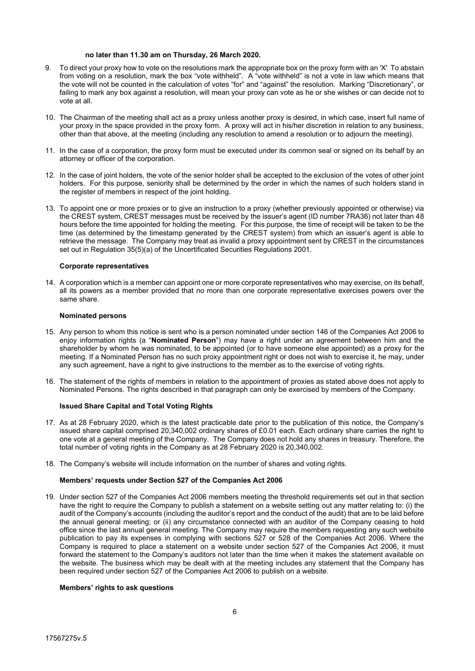#### **no later than 11.30 am on Thursday, 26 March 2020.**

- 9. To direct your proxy how to vote on the resolutions mark the appropriate box on the proxy form with an 'X' To abstain from voting on a resolution, mark the box "vote withheld". A "vote withheld" is not a vote in law which means that the vote will not be counted in the calculation of votes "for" and "against" the resolution. Marking "Discretionary", or failing to mark any box against a resolution, will mean your proxy can vote as he or she wishes or can decide not to vote at all.
- 10. The Chairman of the meeting shall act as a proxy unless another proxy is desired, in which case, insert full name of your proxy in the space provided in the proxy form. A proxy will act in his/her discretion in relation to any business, other than that above, at the meeting (including any resolution to amend a resolution or to adjourn the meeting).
- 11. In the case of a corporation, the proxy form must be executed under its common seal or signed on its behalf by an attorney or officer of the corporation.
- 12. In the case of joint holders, the vote of the senior holder shall be accepted to the exclusion of the votes of other joint holders. For this purpose, seniority shall be determined by the order in which the names of such holders stand in the register of members in respect of the joint holding.
- 13. To appoint one or more proxies or to give an instruction to a proxy (whether previously appointed or otherwise) via the CREST system, CREST messages must be received by the issuer's agent (ID number 7RA36) not later than 48 hours before the time appointed for holding the meeting. For this purpose, the time of receipt will be taken to be the time (as determined by the timestamp generated by the CREST system) from which an issuer's agent is able to retrieve the message. The Company may treat as invalid a proxy appointment sent by CREST in the circumstances set out in Regulation 35(5)(a) of the Uncertificated Securities Regulations 2001.

#### **Corporate representatives**

14. A corporation which is a member can appoint one or more corporate representatives who may exercise, on its behalf, all its powers as a member provided that no more than one corporate representative exercises powers over the same share.

#### **Nominated persons**

- 15. Any person to whom this notice is sent who is a person nominated under section 146 of the Companies Act 2006 to enjoy information rights (a "Nominated Person") may have a right under an agreement between him and the shareholder by whom he was nominated, to be appointed (or to have someone else appointed) as a proxy for the meeting. If a Nominated Person has no such proxy appointment right or does not wish to exercise it, he may, under any such agreement, have a right to give instructions to the member as to the exercise of voting rights.
- 16. The statement of the rights of members in relation to the appointment of proxies as stated above does not apply to Nominated Persons. The rights described in that paragraph can only be exercised by members of the Company.

#### **Issued Share Capital and Total Voting Rights**

- 17. As at 28 February 2020, which is the latest practicable date prior to the publication of this notice, the Company's issued share capital comprised 20,340,002 ordinary shares of £0.01 each. Each ordinary share carries the right to one vote at a general meeting of the Company. The Company does not hold any shares in treasury. Therefore, the total number of voting rights in the Company as at 28 February 2020 is 20,340,002.
- 18. The Company's website will include information on the number of shares and voting rights.

#### Members' requests under Section 527 of the Companies Act 2006

19. Under section 527 of the Companies Act 2006 members meeting the threshold requirements set out in that section have the right to require the Company to publish a statement on a website setting out any matter relating to: (i) the audit of the Company's accounts (including the auditor's report and the conduct of the audit) that are to be laid before the annual general meeting; or (ii) any circumstance connected with an auditor of the Company ceasing to hold office since the last annual general meeting. The Company may require the members requesting any such website publication to pay its expenses in complying with sections 527 or 528 of the Companies Act 2006. Where the Company is required to place a statement on a website under section 527 of the Companies Act 2006, it must forward the statement to the Company's auditors not later than the time when it makes the statement available on the website. The business which may be dealt with at the meeting includes any statement that the Company has been required under section 527 of the Companies Act 2006 to publish on a website.

#### **Members' rights to ask questions**